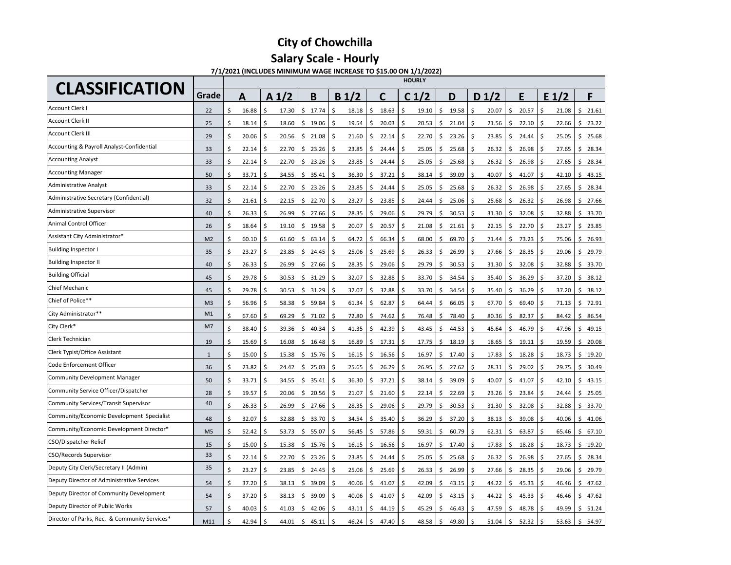### **Salary Scale - Hourly**

**7/1/2021 (INCLUDES MINIMUM WAGE INCREASE TO \$15.00 ON 1/1/2022)**

| <b>CLASSIFICATION</b>                         |                | <b>HOURLY</b> |                      |             |                   |             |                                  |       |                  |             |                  |             |  |  |  |
|-----------------------------------------------|----------------|---------------|----------------------|-------------|-------------------|-------------|----------------------------------|-------|------------------|-------------|------------------|-------------|--|--|--|
|                                               | Grade          | А             | A <sub>1/2</sub>     | B           | B <sub>1</sub> /2 | C           | C <sub>1/2</sub>                 | D     | D <sub>1/2</sub> | E           | E <sub>1/2</sub> | F           |  |  |  |
| Account Clerk I                               | 22             | ς<br>16.88    | \$<br>17.30          | Ŝ.<br>17.74 | \$<br>18.18       | 18.63<br>Ŝ  | Ŝ<br>19.10<br>Ś.                 | 19.58 | Ś.<br>20.07      | 20.57<br>Ś. | Ś<br>21.08       | 21.61<br>Ś. |  |  |  |
| Account Clerk II                              | 25             | Ś<br>18.14    | 18.60                | \$<br>19.06 | 19.54             | 20.03<br>Ś  | Ś<br>20.53<br>Ś                  | 21.04 | Ś<br>21.56       | Ś<br>22.10  | Ś<br>22.66       | \$<br>23.22 |  |  |  |
| <b>Account Clerk III</b>                      | 29             | 20.06         | Ŝ<br>20.56           | \$<br>21.08 | Ś<br>21.60        | Ś<br>22.14  | Ś<br>22.70<br>Ś                  | 23.26 | Ś<br>23.85       | Ś.<br>24.44 | \$<br>25.05      | \$<br>25.68 |  |  |  |
| Accounting & Payroll Analyst-Confidential     | 33             | Ś<br>22.14    | Ś<br>22.70           | \$<br>23.26 | Ŝ.<br>23.85       | Ś<br>24.44  | Ś<br>25.05<br>Ś                  | 25.68 | Ś<br>26.32       | Ś<br>26.98  | \$<br>27.65      | \$<br>28.34 |  |  |  |
| <b>Accounting Analyst</b>                     | 33             | \$<br>22.14   | \$<br>22.70          | \$<br>23.26 | \$<br>23.85       | \$<br>24.44 | \$<br>\$<br>25.05                | 25.68 | Ś<br>26.32       | \$<br>26.98 | \$<br>27.65      | \$<br>28.34 |  |  |  |
| <b>Accounting Manager</b>                     | 50             | \$<br>33.71   | \$<br>34.55          | \$<br>35.41 | \$<br>36.30       | \$<br>37.21 | \$<br>38.14<br>Ś                 | 39.09 | \$<br>40.07      | Ś<br>41.07  | \$<br>42.10      | \$<br>43.15 |  |  |  |
| <b>Administrative Analyst</b>                 | 33             | \$<br>22.14   | \$<br>22.70          | 23.26<br>\$ | \$<br>23.85       | \$<br>24.44 | \$<br>25.05<br>Ś                 | 25.68 | Ś<br>26.32       | 26.98<br>Ś  | \$<br>27.65      | 28.34<br>\$ |  |  |  |
| Administrative Secretary (Confidential)       | 32             | \$<br>21.61   | $\varsigma$<br>22.15 | 22.70<br>\$ | 23.27<br>-\$      | 23.85<br>Ŝ  | \$<br>24.44<br>Ś                 | 25.06 | \$<br>25.68      | Ŝ<br>26.32  | \$<br>26.98      | 27.66<br>\$ |  |  |  |
| Administrative Supervisor                     | 40             | \$<br>26.33   | Ś<br>26.99           | \$<br>27.66 | 28.35<br>\$       | 29.06<br>\$ | \$<br>29.79<br>Ś                 | 30.53 | 31.30<br>Ś       | 32.08<br>ς  | Ś<br>32.88       | Ś<br>33.70  |  |  |  |
| Animal Control Officer                        | 26             | Ś<br>18.64    | Ś.<br>19.10          | 19.58<br>Ŝ. | 20.07<br>.\$      | Ś.<br>20.57 | \$<br>21.08<br>Ś.                | 21.61 | Ś<br>22.15       | \$<br>22.70 | \$<br>23.27      | \$<br>23.85 |  |  |  |
| Assistant City Administrator*                 | M <sub>2</sub> | Ś<br>60.10    | Ś.<br>61.60          | Ŝ.<br>63.14 | Ŝ.<br>64.72       | Ś<br>66.34  | Ś<br>68.00<br>Ś                  | 69.70 | Ś<br>71.44       | Ś.<br>73.23 | Ŝ.<br>75.06      | \$<br>76.93 |  |  |  |
| <b>Building Inspector I</b>                   | 35             | Ś<br>23.27    | Ś<br>23.85           | Ś.<br>24.45 | Ś.<br>25.06       | 25.69<br>Ś  | Ś<br>26.33<br>Ś                  | 26.99 | Ś<br>27.66       | Ś.<br>28.35 | \$<br>29.06      | \$<br>29.79 |  |  |  |
| <b>Building Inspector II</b>                  | 40             | \$<br>26.33   | \$<br>26.99          | \$27.66     | Ś.<br>28.35       | \$<br>29.06 | \$<br>29.79<br>\$                | 30.53 | Ś<br>31.30       | \$<br>32.08 | \$<br>32.88      | \$<br>33.70 |  |  |  |
| <b>Building Official</b>                      | 45             | \$<br>29.78   | \$<br>30.53          | 31.29<br>\$ | \$<br>32.07       | \$<br>32.88 | Ś<br>33.70<br>Ś                  | 34.54 | Ś<br>35.40       | \$<br>36.29 | \$<br>37.20      | \$<br>38.12 |  |  |  |
| Chief Mechanic                                | 45             | \$<br>29.78   | Ś.<br>30.53          | Ŝ.<br>31.29 | Ś.<br>32.07       | Ŝ.<br>32.88 | \$<br>33.70<br>Ś                 | 34.54 | Ś.<br>35.40      | 36.29<br>Ŝ  | Ŝ.<br>37.20      | Ś.<br>38.12 |  |  |  |
| Chief of Police**                             | M <sub>3</sub> | Ś<br>56.96    | Ś<br>58.38           | 59.84<br>Ŝ  | \$<br>61.34       | \$<br>62.87 | \$<br>64.44<br>Ś                 | 66.05 | \$<br>67.70      | 69.40<br>Ś  | Ś<br>71.13       | 72.91<br>\$ |  |  |  |
| City Administrator**                          | M1             | Ś<br>67.60    | \$<br>69.29          | \$<br>71.02 | 72.80<br>Ŝ        | 74.62<br>S  | Ś<br>\$.<br>76.48                | 78.40 | Ś<br>80.36       | 82.37<br>Ŝ  | -\$<br>84.42     | \$<br>86.54 |  |  |  |
| City Clerk*                                   | M7             | Ś<br>38.40    | Ś.<br>39.36          | \$<br>40.34 | Ŝ.<br>41.35       | Ś<br>42.39  | \$<br>43.45<br>\$                | 44.53 | Ś<br>45.64       | 46.79<br>Ś  | -\$<br>47.96     | \$<br>49.15 |  |  |  |
| Clerk Technician                              | 19             | \$<br>15.69   | \$<br>16.08          | \$<br>16.48 | -\$<br>16.89      | \$<br>17.31 | \$<br>\$<br>17.75                | 18.19 | \$<br>18.65      | \$<br>19.11 | \$<br>19.59      | \$<br>20.08 |  |  |  |
| Clerk Typist/Office Assistant                 | $\mathbf{1}$   | \$<br>15.00   | \$<br>15.38          | \$<br>15.76 | \$<br>16.15       | \$<br>16.56 | \$<br>16.97<br>\$                | 17.40 | \$<br>17.83      | \$<br>18.28 | \$<br>18.73      | \$<br>19.20 |  |  |  |
| Code Enforcement Officer                      | 36             | \$<br>23.82   | \$<br>24.42          | \$<br>25.03 | \$<br>25.65       | \$<br>26.29 | \$<br>Ś<br>26.95                 | 27.62 | \$<br>28.31      | Ś.<br>29.02 | \$<br>29.75      | Ś.<br>30.49 |  |  |  |
| <b>Community Development Manager</b>          | 50             | \$<br>33.71   | \$<br>34.55          | \$<br>35.41 | \$<br>36.30       | \$<br>37.21 | \$<br>38.14<br>Ś                 | 39.09 | \$<br>40.07      | \$<br>41.07 | \$<br>42.10      | 43.15<br>\$ |  |  |  |
| Community Service Officer/Dispatcher          | 28             | ς<br>19.57    | \$<br>20.06          | 20.56<br>\$ | Ś<br>21.07        | 21.60<br>Ŝ  | \$<br>22.14<br>Ś                 | 22.69 | \$<br>23.26      | 23.84<br>ς  | \$<br>24.44      | 25.05<br>Ś  |  |  |  |
| <b>Community Services/Transit Supervisor</b>  | 40             | Ś.<br>26.33   | Ś<br>26.99           | \$<br>27.66 | ς.<br>28.35       | 29.06<br>ς. | Ś<br>29.79<br>\$                 | 30.53 | Ś<br>31.30       | ς<br>32.08  | \$<br>32.88      | \$<br>33.70 |  |  |  |
| Community/Economic Development Specialist     | 48             | Ś<br>32.07    | $\varsigma$<br>32.88 | 33.70<br>Ŝ. | Ś.<br>34.54       | Ś<br>35.40  | \$<br>36.29<br>Ś                 | 37.20 | Ś<br>38.13       | 39.08<br>Ś. | $\zeta$<br>40.06 | 41.06<br>Ś. |  |  |  |
| Community/Economic Development Director*      | M <sub>5</sub> | \$<br>52.42   | Ś.<br>53.73          | \$<br>55.07 | Ś.<br>56.45       | Ś.<br>57.86 | \$<br>59.31<br>Ś                 | 60.79 | Ś.<br>62.31      | \$<br>63.87 | \$<br>65.46      | \$<br>67.10 |  |  |  |
| CSO/Dispatcher Relief                         | 15             | \$<br>15.00   | Ś<br>15.38           | \$<br>15.76 | Ś.<br>16.15       | \$<br>16.56 | \$<br>16.97<br>Ś                 | 17.40 | Ś.<br>17.83      | Ś.<br>18.28 | \$<br>18.73      | 19.20<br>\$ |  |  |  |
| CSO/Records Supervisor                        | 33             | \$<br>22.14   | \$<br>22.70          | \$23.26     | \$<br>23.85       | \$<br>24.44 | Ś<br>25.05<br>Ś.                 | 25.68 | Ś.<br>26.32      | Ś<br>26.98  | \$<br>27.65      | \$<br>28.34 |  |  |  |
| Deputy City Clerk/Secretary II (Admin)        | 35             | \$<br>23.27   | \$<br>23.85          | \$<br>24.45 | \$<br>25.06       | \$<br>25.69 | \$<br>26.33<br>Ś.                | 26.99 | Ś<br>27.66       | 28.35<br>Ś. | \$<br>29.06      | 29.79<br>\$ |  |  |  |
| Deputy Director of Administrative Services    | 54             | \$<br>37.20   | Ŝ.<br>38.13          | Ŝ.<br>39.09 | Ŝ.<br>40.06       | Ŝ.<br>41.07 | \$<br>42.09<br>Ŝ.                | 43.15 | Ś.<br>44.22      | Ś<br>45.33  | \$<br>46.46      | Ŝ.<br>47.62 |  |  |  |
| Deputy Director of Community Development      | 54             | ς<br>37.20    | Ś<br>38.13           | 39.09<br>Ŝ  | 40.06             | 41.07<br>Ŝ  | Ŝ<br>42.09<br>Ś                  | 43.15 | Ś<br>44.22       | 45.33       | Ś<br>46.46       | 47.62<br>Ś  |  |  |  |
| Deputy Director of Public Works               | 57             | 40.03         | Ś,<br>41.03          | \$<br>42.06 | 43.11             | Ś<br>44.19  | Ś<br>45.29<br>$\mathsf{\hat{S}}$ | 46.43 | Ś<br>47.59       | Ś.<br>48.78 | Ś<br>49.99       | Ś.<br>51.24 |  |  |  |
| Director of Parks, Rec. & Community Services* | M11            | Ś<br>42.94    | Ś<br>44.01           | \$<br>45.11 | Ś<br>46.24        | \$<br>47.40 | Ś<br>Ś.<br>48.58                 | 49.80 | Ś<br>51.04       | \$<br>52.32 | Ś<br>53.63       | \$<br>54.97 |  |  |  |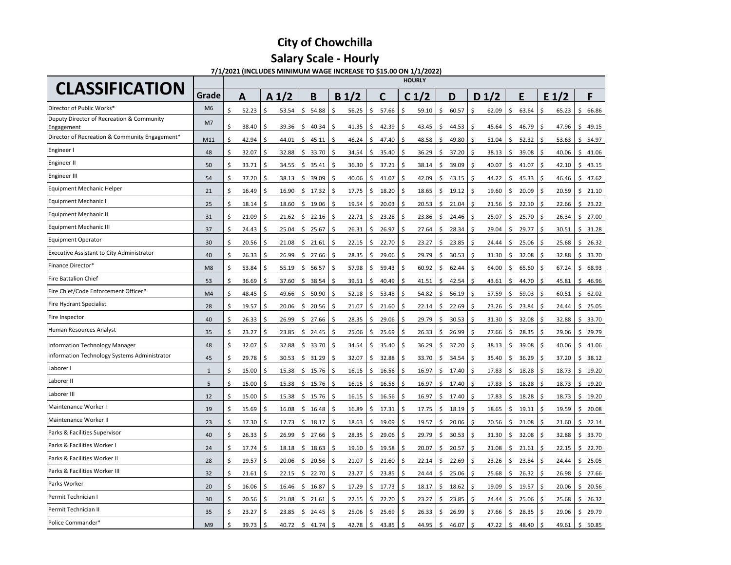### **Salary Scale - Hourly**

**7/1/2021 (INCLUDES MINIMUM WAGE INCREASE TO \$15.00 ON 1/1/2022)**

| <b>CLASSIFICATION</b>                                   |                |             |                   |             |                  |             | <b>HOURLY</b>    |             |                  |             |             |             |
|---------------------------------------------------------|----------------|-------------|-------------------|-------------|------------------|-------------|------------------|-------------|------------------|-------------|-------------|-------------|
|                                                         | Grade          | A           | A <sub>1</sub> /2 | B           | B <sub>1/2</sub> | С           | C <sub>1/2</sub> | D           | D <sub>1/2</sub> | E           | E 1/2       | F           |
| Director of Public Works'                               | M <sub>6</sub> | \$<br>52.23 | Ś.<br>53.54       | \$<br>54.88 | Ś.<br>56.25      | Ś.<br>57.66 | Ś.<br>59.10      | Ś.<br>60.57 | Ś.<br>62.09      | \$<br>63.64 | Ŝ<br>65.23  | Ś.<br>66.86 |
| Deputy Director of Recreation & Community<br>Engagement | M7             | \$<br>38.40 | Ś<br>39.36        | Ŝ.<br>40.34 | Ś<br>41.35       | Ś.<br>42.39 | Ś<br>43.45       | 44.53<br>Ś  | Ś.<br>45.64      | Ś.<br>46.79 | Ś<br>47.96  | 49.15<br>Ś. |
| Director of Recreation & Community Engagement*          | M11            | \$<br>42.94 | Ś<br>44.01        | \$<br>45.11 | Ś<br>46.24       | \$<br>47.40 | Ś<br>48.58       | 49.80<br>\$ | Ś<br>51.04       | Ś<br>52.32  | Ŝ.<br>53.63 | 54.97<br>Ś  |
| Engineer I                                              | 48             | Ś<br>32.07  | Ś<br>32.88        | Ś.<br>33.70 | Ś<br>34.54       | Ś<br>35.40  | Ś<br>36.29       | 37.20<br>Ś  | Ś<br>38.13       | Ś<br>39.08  | Ś<br>40.06  | 41.06<br>Ś  |
| Engineer II                                             | 50             | \$<br>33.71 | Ŝ<br>34.55        | \$<br>35.41 | Ś.<br>36.30      | 37.21<br>Ś. | Ś.<br>38.14      | 39.09<br>Ś  | Ś.<br>40.07      | Ŝ.<br>41.07 | Ŝ.<br>42.10 | 43.15<br>Ś  |
| Engineer III                                            | 54             | Ś<br>37.20  | 38.13<br>Ś        | 39.09<br>Ŝ. | 40.06<br>Ś.      | Ś<br>41.07  | Ś<br>42.09       | 43.15<br>Ś. | Ś.<br>44.22      | Ś.<br>45.33 | Ś.<br>46.46 | 47.62<br>Ś  |
| <b>Equipment Mechanic Helper</b>                        | 21             | \$<br>16.49 | 16.90<br>.S       | \$<br>17.32 | Ś<br>17.75       | 18.20<br>ς  | Ś<br>18.65       | \$<br>19.12 | \$<br>19.60      | \$<br>20.09 | Ŝ.<br>20.59 | 21.10<br>ς  |
| <b>Equipment Mechanic I</b>                             | 25             | Ś<br>18.14  | \$<br>18.60       | \$<br>19.06 | \$<br>19.54      | Ś<br>20.03  | Ś<br>20.53       | Ś<br>21.04  | \$<br>21.56      | \$<br>22.10 | \$<br>22.66 | Ŝ<br>23.22  |
| <b>Equipment Mechanic II</b>                            | 31             | Ś<br>21.09  | \$<br>21.62       | \$<br>22.16 | Ś.<br>22.71      | Ś.<br>23.28 | Ś<br>23.86       | 24.46<br>Ś  | \$<br>25.07      | \$<br>25.70 | \$<br>26.34 | Ś<br>27.00  |
| <b>Equipment Mechanic III</b>                           | 37             | Ś<br>24.43  | Ś<br>25.04        | \$<br>25.67 | \$<br>26.31      | Ś.<br>26.97 | Ś<br>27.64       | 28.34<br>Ś  | \$<br>29.04      | \$<br>29.77 | \$<br>30.51 | \$<br>31.28 |
| <b>Equipment Operator</b>                               | 30             | Ś<br>20.56  | \$<br>21.08       | \$<br>21.61 | Ś<br>22.15       | Ś<br>22.70  | Ś<br>23.27       | 23.85<br>ς  | Ś<br>24.44       | \$<br>25.06 | Ŝ.<br>25.68 | Ś<br>26.32  |
| <b>Executive Assistant to City Administrator</b>        | 40             | Ś<br>26.33  | Ś<br>26.99        | Ś.<br>27.66 | Ś<br>28.35       | Ś<br>29.06  | Ś<br>29.79       | 30.53<br>Ś  | \$<br>31.30      | Ś.<br>32.08 | Ś<br>32.88  | 33.70<br>Ŝ. |
| Finance Director*                                       | M <sub>8</sub> | Ś<br>53.84  | Ŝ<br>55.19        | \$<br>56.57 | Ś<br>57.98       | Ś.<br>59.43 | Ś<br>60.92       | Ś<br>62.44  | \$<br>64.00      | \$<br>65.60 | Ś<br>67.24  | Ś<br>68.93  |
| <b>Fire Battalion Chief</b>                             | 53             | Ś<br>36.69  | Ś<br>37.60        | \$<br>38.54 | Ś<br>39.51       | Ś.<br>40.49 | Ŝ<br>41.51       | 42.54<br>Ś  | \$<br>43.61      | Ś.<br>44.70 | Ŝ<br>45.81  | 46.96<br>Ŝ  |
| Fire Chief/Code Enforcement Officer*                    | M <sub>4</sub> | Ś<br>48.45  | Ś<br>49.66        | \$<br>50.90 | Ś<br>52.18       | Ś.<br>53.48 | Ś<br>54.82       | 56.19<br>Ś  | \$<br>57.59      | Ś<br>59.03  | Ŝ<br>60.51  | Ś<br>62.02  |
| Fire Hydrant Specialist                                 | 28             | Ś<br>19.57  | Ś<br>20.06        | \$<br>20.56 | Ś.<br>21.07      | Ś.<br>21.60 | Ś<br>22.14       | \$<br>22.69 | \$<br>23.26      | \$<br>23.84 | Ŝ<br>24.44  | Ś<br>25.05  |
| Fire Inspector                                          | 40             | Ś<br>26.33  | Ś<br>26.99        | \$<br>27.66 | Ś.<br>28.35      | 29.06<br>ς  | 29.79<br>Ś       | 30.53<br>Ś  | \$<br>31.30      | Ś<br>32.08  | 32.88<br>Ś  | 33.70<br>\$ |
| Human Resources Analyst                                 | 35             | Ś<br>23.27  | Ś.<br>23.85       | \$<br>24.45 | Ś<br>25.06       | Ś<br>25.69  | Ś<br>26.33       | Ś<br>26.99  | \$<br>27.66      | \$<br>28.35 | \$<br>29.06 | 29.79<br>\$ |
| <b>Information Technology Manager</b>                   | 48             | Ś<br>32.07  | \$<br>32.88       | 33.70<br>\$ | Ś<br>34.54       | 35.40<br>Ś  | 36.29<br>Ś       | 37.20<br>Ś  | Ś<br>38.13       | Ś<br>39.08  | 40.06<br>Ŝ  | 41.06<br>Ś  |
| <b>Information Technology Systems Administrator</b>     | 45             | \$<br>29.78 | Ś.<br>30.53       | Ŝ.<br>31.29 | Ś<br>32.07       | ς<br>32.88  | Ś<br>33.70       | Ś<br>34.54  | Ś.<br>35.40      | Ś.<br>36.29 | \$<br>37.20 | Ś.<br>38.12 |
| Laborer I                                               | $\mathbf{1}$   | Ś<br>15.00  | Ŝ<br>15.38        | \$<br>15.76 | \$<br>16.15      | 16.56<br>Ś  | Ś<br>16.97       | 17.40<br>\$ | \$<br>17.83      | 18.28<br>Ŝ. | Ś<br>18.73  | 19.20<br>Ś  |
| Laborer II                                              | 5              | Ś<br>15.00  | Ś<br>15.38        | \$<br>15.76 | Ś.<br>16.15      | Ś<br>16.56  | Ś<br>16.97       | Ś.<br>17.40 | Ś.<br>17.83      | Ś.<br>18.28 | Ŝ.<br>18.73 | 19.20<br>Ś. |
| Laborer III                                             | 12             | \$<br>15.00 | Ś<br>15.38        | \$<br>15.76 | Ŝ<br>16.15       | \$<br>16.56 | \$<br>16.97      | 17.40<br>\$ | \$<br>17.83      | \$<br>18.28 | \$<br>18.73 | Ś<br>19.20  |
| Maintenance Worker I                                    | 19             | Ś<br>15.69  | Ś<br>16.08        | \$<br>16.48 | \$<br>16.89      | \$<br>17.31 | Ś<br>17.75       | 18.19<br>\$ | \$<br>18.65      | \$<br>19.11 | \$<br>19.59 | \$<br>20.08 |
| Maintenance Worker II                                   | 23             | Ś<br>17.30  | Ś<br>17.73        | \$<br>18.17 | \$<br>18.63      | 19.09<br>\$ | Ś<br>19.57       | 20.06<br>Ś  | \$<br>20.56      | \$<br>21.08 | Ś<br>21.60  | \$<br>22.14 |
| Parks & Facilities Supervisor                           | 40             | Ś<br>26.33  | Ś<br>26.99        | \$27.66     | \$<br>28.35      | Ś.<br>29.06 | Ś<br>29.79       | Ś<br>30.53  | \$<br>31.30      | \$<br>32.08 | \$<br>32.88 | \$<br>33.70 |
| Parks & Facilities Worker I                             | 24             | Ś<br>17.74  | Ś<br>18.18        | \$<br>18.63 | Ś<br>19.10       | 19.58       | Ś<br>20.07       | 20.57<br>Ś  | \$<br>21.08      | \$<br>21.61 | \$<br>22.15 | 22.70<br>\$ |
| Parks & Facilities Worker II                            | 28             | Ś<br>19.57  | Ś<br>20.06        | 20.56<br>\$ | \$<br>21.07      | 21.60<br>Ŝ  | Ś<br>22.14       | 22.69<br>\$ | \$<br>23.26      | \$<br>23.84 | Ś,<br>24.44 | Ś<br>25.05  |
| Parks & Facilities Worker III                           | 32             | Ś<br>21.61  | 22.15<br>.S       | 22.70<br>\$ | \$<br>23.27      | 23.85<br>\$ | Ŝ<br>24.44       | \$<br>25.06 | \$<br>25.68      | \$<br>26.32 | 26.98<br>Ś  | \$<br>27.66 |
| Parks Worker                                            | 20             | Ś<br>16.06  | Ś<br>16.46        | \$<br>16.87 | Ś<br>17.29       | Ś.<br>17.73 | \$<br>18.17      | \$<br>18.62 | \$<br>19.09      | \$<br>19.57 | Ŝ<br>20.06  | \$<br>20.56 |
| Permit Technician I                                     | 30             | Ś<br>20.56  | Ś<br>21.08        | Ś.<br>21.61 | Ś<br>22.15       | Ś<br>22.70  | Ś<br>23.27       | Ś<br>23.85  | Ś.<br>24.44      | Ś.<br>25.06 | Ś<br>25.68  | Ś<br>26.32  |
| Permit Technician II                                    | 35             | ς.<br>23.27 | Ś<br>23.85        | \$<br>24.45 | \$<br>25.06      | Ś.<br>25.69 | \$<br>26.33      | 26.99<br>ς. | \$<br>27.66      | Ś<br>28.35  | Ś.<br>29.06 | 29.79<br>Ś  |
| Police Commander*                                       | M <sub>9</sub> | 39.73<br>Ś  | Ś<br>40.72        | Ŝ.<br>41.74 | \$<br>42.78      | \$<br>43.85 | \$<br>44.95      | \$<br>46.07 | \$<br>47.22      | \$<br>48.40 | \$<br>49.61 | \$<br>50.85 |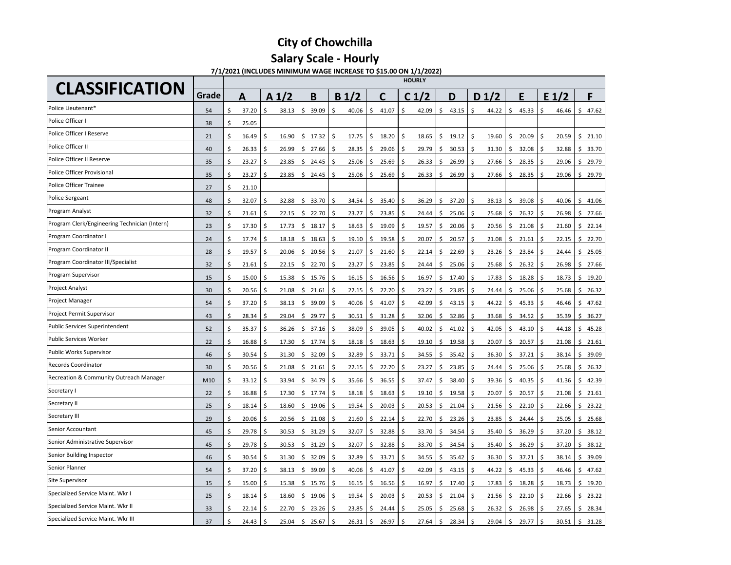### **Salary Scale - Hourly**

**7/1/2021 (INCLUDES MINIMUM WAGE INCREASE TO \$15.00 ON 1/1/2022)**

| <b>CLASSIFICATION</b>                         |       | <b>HOURLY</b> |                  |             |                  |             |                  |             |                  |             |                  |             |  |  |  |
|-----------------------------------------------|-------|---------------|------------------|-------------|------------------|-------------|------------------|-------------|------------------|-------------|------------------|-------------|--|--|--|
|                                               | Grade | A             | A <sub>1/2</sub> | B           | B <sub>1/2</sub> | C           | C <sub>1/2</sub> | D           | D <sub>1/2</sub> | E           | E <sub>1/2</sub> | F           |  |  |  |
| Police Lieutenant*                            | 54    | Ś<br>37.20    | Ś<br>38.13       | \$<br>39.09 | Ś<br>40.06       | \$<br>41.07 | \$<br>42.09      | \$<br>43.15 | \$<br>44.22      | \$<br>45.33 | \$<br>46.46      | \$<br>47.62 |  |  |  |
| Police Officer I                              | 38    | Ś<br>25.05    |                  |             |                  |             |                  |             |                  |             |                  |             |  |  |  |
| Police Officer I Reserve                      | 21    | Ś<br>16.49    | 16.90<br>.S      | \$17.32     | Ŝ.<br>17.75      | Ś.<br>18.20 | \$<br>18.65      | \$<br>19.12 | \$<br>19.60      | \$<br>20.09 | \$<br>20.59      | \$<br>21.10 |  |  |  |
| Police Officer II                             | 40    | Ś<br>26.33    | 26.99<br>Ś       | \$<br>27.66 | Ś<br>28.35       | 29.06<br>Ś  | 29.79<br>\$.     | 30.53<br>Ŝ  | Ś<br>31.30       | 32.08<br>Ś. | \$<br>32.88      | \$<br>33.70 |  |  |  |
| Police Officer II Reserve                     | 35    | Ś<br>23.27    | Ŝ<br>23.85       | \$<br>24.45 | -\$<br>25.06     | Ś.<br>25.69 | \$.<br>26.33     | Ś<br>26.99  | Ś<br>27.66       | \$<br>28.35 | \$<br>29.06      | \$<br>29.79 |  |  |  |
| Police Officer Provisional                    | 35    | Ś<br>23.27    | Ś<br>23.85       | \$<br>24.45 | Ŝ.<br>25.06      | \$<br>25.69 | \$<br>26.33      | 26.99<br>Ś  | Ś<br>27.66       | \$<br>28.35 | \$<br>29.06      | 29.79<br>\$ |  |  |  |
| Police Officer Trainee                        | 27    | Ś<br>21.10    |                  |             |                  |             |                  |             |                  |             |                  |             |  |  |  |
| <b>Police Sergeant</b>                        | 48    | Ś<br>32.07    | Ś<br>32.88       | \$<br>33.70 | \$<br>34.54      | Ś<br>35.40  | \$<br>36.29      | Ŝ<br>37.20  | \$<br>38.13      | Ś<br>39.08  | \$<br>40.06      | Ŝ<br>41.06  |  |  |  |
| Program Analyst                               | 32    | \$<br>21.61   | 22.15<br>Ś       | 22.70<br>\$ | -\$<br>23.27     | \$<br>23.85 | \$<br>24.44      | 25.06<br>Ŝ  | \$<br>25.68      | \$<br>26.32 | \$<br>26.98      | \$<br>27.66 |  |  |  |
| Program Clerk/Engineering Technician (Intern) | 23    | Ś<br>17.30    | \$<br>17.73      | \$<br>18.17 | -\$<br>18.63     | \$<br>19.09 | \$<br>19.57      | \$<br>20.06 | Ś<br>20.56       | Ś.<br>21.08 | \$<br>21.60      | \$<br>22.14 |  |  |  |
| Program Coordinator I                         | 24    | Ś<br>17.74    | Ś<br>18.18       | \$<br>18.63 | -\$<br>19.10     | Ś<br>19.58  | 20.07<br>\$.     | Ś<br>20.57  | Ś<br>21.08       | \$<br>21.61 | \$<br>22.15      | \$<br>22.70 |  |  |  |
| Program Coordinator II                        | 28    | Ś<br>19.57    | Ŝ<br>20.06       | \$<br>20.56 | Ŝ.<br>21.07      | \$<br>21.60 | \$.<br>22.14     | Ś<br>22.69  | Ś<br>23.26       | \$<br>23.84 | \$<br>24.44      | \$<br>25.05 |  |  |  |
| Program Coordinator III/Specialist            | 32    | Ś<br>21.61    | Ś<br>22.15       | \$<br>22.70 | -\$<br>23.27     | \$<br>23.85 | \$<br>24.44      | 25.06<br>Ŝ  | \$<br>25.68      | \$<br>26.32 | \$<br>26.98      | \$<br>27.66 |  |  |  |
| Program Supervisor                            | 15    | Ś<br>15.00    | \$<br>15.38      | \$<br>15.76 | -\$<br>16.15     | Ś<br>16.56  | Ś<br>16.97       | Ś<br>17.40  | Ś<br>17.83       | Ś.<br>18.28 | \$<br>18.73      | Ŝ<br>19.20  |  |  |  |
| <b>Project Analyst</b>                        | 30    | Ś<br>20.56    | .S<br>21.08      | \$<br>21.61 | Ś<br>22.15       | Ś<br>22.70  | Ś<br>23.27       | 23.85       | \$<br>24.44      | \$<br>25.06 | -\$<br>25.68     | \$<br>26.32 |  |  |  |
| <b>Project Manager</b>                        | 54    | \$<br>37.20   | 38.13<br>.S      | 39.09<br>\$ | \$<br>40.06      | 41.07<br>Ś  | \$<br>42.09      | 43.15<br>ς  | Ś<br>44.22       | 45.33<br>\$ | \$<br>46.46      | 47.62<br>\$ |  |  |  |
| Project Permit Supervisor                     | 43    | Ś<br>28.34    | 29.04<br>.S      | \$<br>29.77 | Ŝ.<br>30.51      | Ś<br>31.28  | \$.<br>32.06     | Ś<br>32.86  | Ś<br>33.68       | Ś.<br>34.52 | \$<br>35.39      | \$<br>36.27 |  |  |  |
| <b>Public Services Superintendent</b>         | 52    | Ś<br>35.37    | Ś<br>36.26       | \$<br>37.16 | Ś<br>38.09       | Ś<br>39.05  | \$.<br>40.02     | 41.02<br>Ś  | Ś<br>42.05       | \$<br>43.10 | \$<br>44.18      | \$<br>45.28 |  |  |  |
| Public Services Worker                        | 22    | Ś<br>16.88    | Ŝ<br>17.30       | \$<br>17.74 | Ŝ.<br>18.18      | Ś<br>18.63  | \$<br>19.10      | Ś<br>19.58  | Ś<br>20.07       | \$<br>20.57 | \$<br>21.08      | \$<br>21.61 |  |  |  |
| Public Works Supervisor                       | 46    | Ś<br>30.54    | \$<br>31.30      | \$<br>32.09 | -\$<br>32.89     | \$<br>33.71 | \$<br>34.55      | 35.42<br>Ŝ  | \$<br>36.30      | \$<br>37.21 | \$<br>38.14      | \$<br>39.09 |  |  |  |
| <b>Records Coordinator</b>                    | 30    | Ś<br>20.56    | \$<br>21.08      | \$<br>21.61 | -\$<br>22.15     | Ś<br>22.70  | \$<br>23.27      | 23.85<br>Ŝ  | Ś<br>24.44       | Ś.<br>25.06 | \$<br>25.68      | Ŝ<br>26.32  |  |  |  |
| Recreation & Community Outreach Manager       | M10   | Ś<br>33.12    | Ś<br>33.94       | \$<br>34.79 | \$<br>35.66      | 36.55<br>\$ | \$<br>37.47      | 38.40<br>Ŝ  | \$<br>39.36      | 40.35<br>\$ | \$<br>41.36      | 42.39<br>\$ |  |  |  |
| Secretary I                                   | 22    | \$<br>16.88   | Ś<br>17.30       | 17.74<br>Ŝ. | Ś.<br>18.18      | 18.63<br>Ś  | Ś.<br>19.10      | 19.58<br>ς  | Ś<br>20.07       | 20.57<br>Ś. | \$<br>21.08      | 21.61<br>Ŝ  |  |  |  |
| Secretary II                                  | 25    | Ś<br>18.14    | Ś<br>18.60       | \$<br>19.06 | Ŝ.<br>19.54      | Ś<br>20.03  | \$.<br>20.53     | Ś<br>21.04  | ς<br>21.56       | Ś.<br>22.10 | \$<br>22.66      | \$<br>23.22 |  |  |  |
| Secretary III                                 | 29    | Ś<br>20.06    | \$<br>20.56      | \$<br>21.08 | \$<br>21.60      | Ś<br>22.14  | \$.<br>22.70     | Ś<br>23.26  | 23.85<br>Ś       | \$<br>24.44 | \$<br>25.05      | \$<br>25.68 |  |  |  |
| Senior Accountant                             | 45    | Ś<br>29.78    | Ś<br>30.53       | \$<br>31.29 | \$<br>32.07      | \$<br>32.88 | \$.<br>33.70     | Ś<br>34.54  | Ś.<br>35.40      | \$<br>36.29 | \$<br>37.20      | \$<br>38.12 |  |  |  |
| Senior Administrative Supervisor              | 45    | Ś<br>29.78    | Ś<br>30.53       | \$<br>31.29 | -\$<br>32.07     | \$<br>32.88 | \$<br>33.70      | 34.54<br>Ś  | Ś<br>35.40       | \$<br>36.29 | \$<br>37.20      | \$<br>38.12 |  |  |  |
| Senior Building Inspector                     | 46    | Ś<br>30.54    | Ś<br>31.30       | \$<br>32.09 | Ŝ.<br>32.89      | Ś.<br>33.71 | \$.<br>34.55     | 35.42<br>Ŝ  | Ś<br>36.30       | \$<br>37.21 | \$<br>38.14      | Ŝ<br>39.09  |  |  |  |
| Senior Planner                                | 54    | Ś<br>37.20    | Ś<br>38.13       | 39.09<br>\$ | \$<br>40.06      | 41.07<br>\$ | Ś<br>42.09       | Ŝ<br>43.15  | \$<br>44.22      | Ś<br>45.33  | \$.<br>46.46     | 47.62<br>\$ |  |  |  |
| Site Supervisor                               | 15    | \$<br>15.00   | 15.38<br>Ś,      | 15.76<br>\$ | Ŝ<br>16.15       | Ś.<br>16.56 | \$<br>16.97      | 17.40<br>Ś  | \$<br>17.83      | 18.28<br>Ś. | Ŝ.<br>18.73      | 19.20<br>Ŝ. |  |  |  |
| Specialized Service Maint. Wkr I              | 25    | Ś<br>18.14    | 18.60            | \$<br>19.06 | Ś<br>19.54       | Ś<br>20.03  | Ś<br>20.53       | Ś<br>21.04  | ς<br>21.56       | Ś<br>22.10  | Ŝ.<br>22.66      | \$<br>23.22 |  |  |  |
| Specialized Service Maint. Wkr II             | 33    | 22.14         | 22.70            | \$<br>23.26 | Ś<br>23.85       | Ś<br>24.44  | 25.05            | 25.68       | 26.32            | 26.98<br>Ś  | Ŝ<br>27.65       | \$<br>28.34 |  |  |  |
| Specialized Service Maint. Wkr III            | 37    | Ś<br>24.43    | Ŝ.<br>25.04      | \$<br>25.67 | Ŝ.<br>26.31      | \$<br>26.97 | \$<br>27.64      | \$<br>28.34 | \$<br>29.04      | \$<br>29.77 | \$<br>30.51      | \$<br>31.28 |  |  |  |